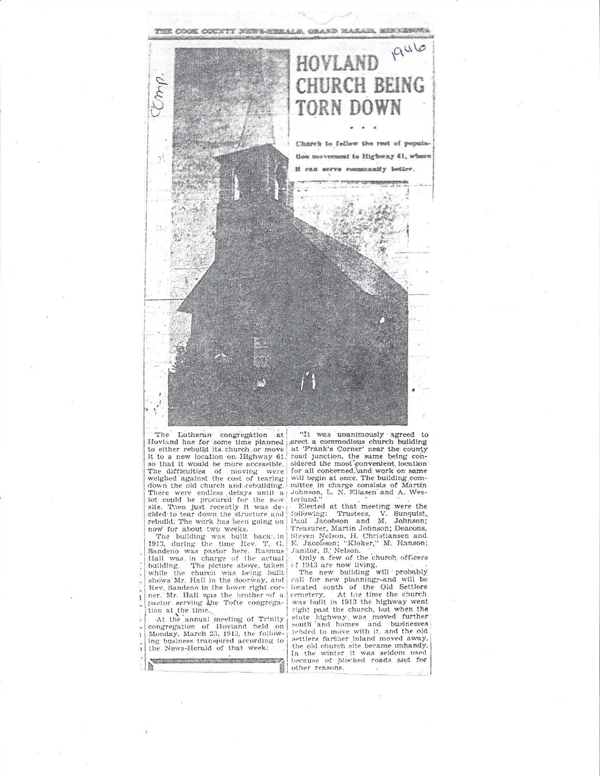

The Lutheran congregation at Hovland has for some time planned<br>to either rebuild its church or move it to a new location on Highway 61. so that it would be more accessible. The difficulties of moving were<br>weighed against the cost of tearing down the old church and rebuilding. There were endless delays until a lot could be procured for the new site. Then just recently it was decided to tear down the structure and<br>rebuild. The work has been going on now for about two weeks.

The building was built back-in 1913, during the time Rev. T. G.<br>Sandeno was pastor here. Rasmus Hall was in charge of the actual<br>building. The picture above, taken<br>while the church was being built shows Mr. Hall in the doorway, and Rev. Sandeno in the lower right corner. Mr. Hall was the brother of a pastor serving the Tofte congregation at the time.

At the annual meeting of Trinity<br>congregation of Hovland held on<br>Monday, March 23, 1913, the following business transpired according to the News-Herald of that week:

**AV** 

"It was unanimously agreed to erect a commodious church building<br>at 'Frank's Corner' near the county road junction, the same being considered the most convenient, location<br>for all concerned, and work on same will begin at once. The building com-<br>mittee in charge consists of Martin<br>Johnson, L. N. Ellasen and A. Wes-<br>terlund."

Elected at that meeting were the following: Trustees, V. Sunquist, Paul Jacobson and M. Johnson; Treasurer, Martin Johnson; Deacons, Steven Nelson, H. Christiansen and E. Jacobson; "Kloker," M. Hanson; January S. Nelson.<br>Conly a few of the church officers

or the character of the character of the 1913 are now living.

call for new planning;-and will be can you hew plasming, and will be<br>located south of the Oil Settlers<br>cemetery, At the time the church<br>was built in 1913 the highway went<br>right past the church, but when the state highway was moved further<br>south and homes and businesses tehded to move with it, and the old settlers farther inland moved away, the old church site became unhandy.<br>In the winter it was seldom used because of blocked roads and for other reasons.